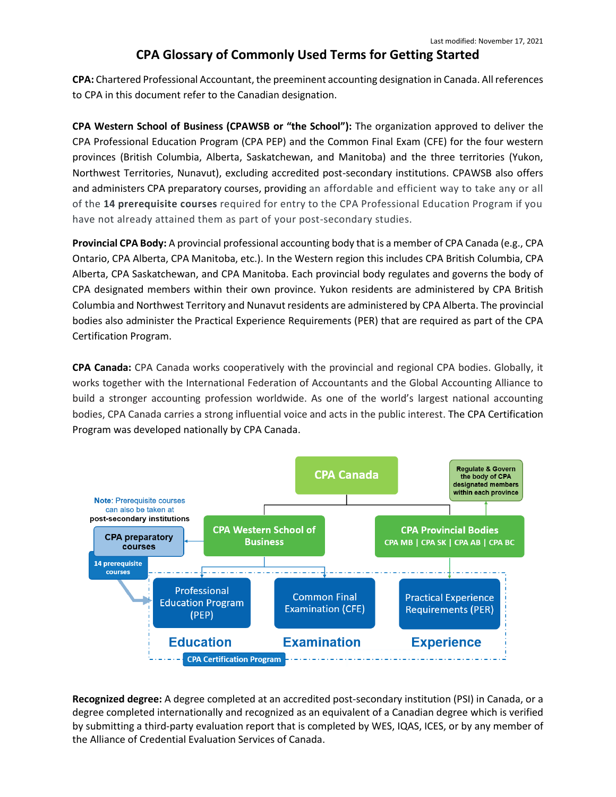## **CPA Glossary of Commonly Used Terms for Getting Started**

**CPA:** Chartered Professional Accountant, the preeminent accounting designation in Canada. All references to CPA in this document refer to the Canadian designation.

**CPA Western School of Business (CPAWSB or "the School"):** The organization approved to deliver the CPA Professional Education Program (CPA PEP) and the Common Final Exam (CFE) for the four western provinces (British Columbia, Alberta, Saskatchewan, and Manitoba) and the three territories (Yukon, Northwest Territories, Nunavut), excluding accredited post-secondary institutions. CPAWSB also offers and administers CPA preparatory courses, providing an affordable and efficient way to take any or all of the **14 prerequisite courses** required for entry to the CPA Professional Education Program if you have not already attained them as part of your post-secondary studies.

**Provincial CPA Body:** A provincial professional accounting body that is a member of CPA Canada (e.g., CPA Ontario, CPA Alberta, CPA Manitoba, etc.). In the Western region this includes CPA British Columbia, CPA Alberta, CPA Saskatchewan, and CPA Manitoba. Each provincial body regulates and governs the body of CPA designated members within their own province. Yukon residents are administered by CPA British Columbia and Northwest Territory and Nunavut residents are administered by CPA Alberta. The provincial bodies also administer the Practical Experience Requirements (PER) that are required as part of the CPA Certification Program.

**CPA Canada:** CPA Canada works cooperatively with the provincial and regional CPA bodies. Globally, it works together with the International Federation of Accountants and the Global Accounting Alliance to build a stronger accounting profession worldwide. As one of the world's largest national accounting bodies, CPA Canada carries a strong influential voice and acts in the public interest. The CPA Certification Program was developed nationally by CPA Canada.



**Recognized degree:** A degree completed at an accredited post-secondary institution (PSI) in Canada, or a degree completed internationally and recognized as an equivalent of a Canadian degree which is verified by submitting a third-party evaluation report that is completed by WES, IQAS, ICES, or by any member of the Alliance of Credential Evaluation Services of Canada.